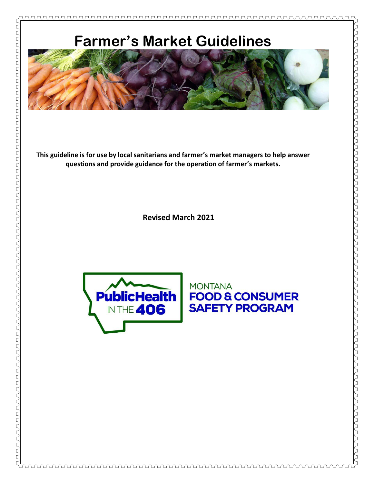

**This guideline is for use by local sanitarians and farmer's market managers to help answer questions and provide guidance for the operation of farmer's markets.**

**Revised March 2021**



PSANDONAN AND NANDON AND NANDON AND NANDON ASSEMBLANCE OF THE RESEARCH ON THE DON DESCRIPTION OF THE RESEARCH OF THE RESEARCH OF THE RESEARCH OF THE RESEARCH OF THE RESEARCH OF THE RESEARCH OF THE RESEARCH OF THE RESEARCH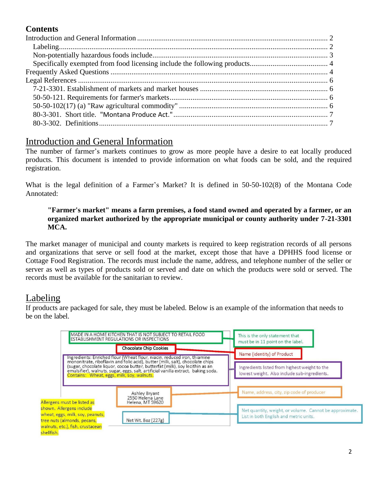# **Contents**

# <span id="page-1-0"></span>Introduction and General Information

The number of farmer's markets continues to grow as more people have a desire to eat locally produced products. This document is intended to provide information on what foods can be sold, and the required registration.

What is the legal definition of a Farmer's Market? It is defined in 50-50-102(8) of the Montana Code Annotated:

### **"Farmer's market" means a farm premises, a food stand owned and operated by a farmer, or an organized market authorized by the appropriate municipal or county authority under 7-21-3301 MCA.**

The market manager of municipal and county markets is required to keep registration records of all persons and organizations that serve or sell food at the market, except those that have a DPHHS food license or Cottage Food Registration. The records must include the name, address, and telephone number of the seller or server as well as types of products sold or served and date on which the products were sold or served. The records must be available for the sanitarian to review.

# Labeling

If products are packaged for sale, they must be labeled. Below is an example of the information that needs to be on the label.

<span id="page-1-1"></span>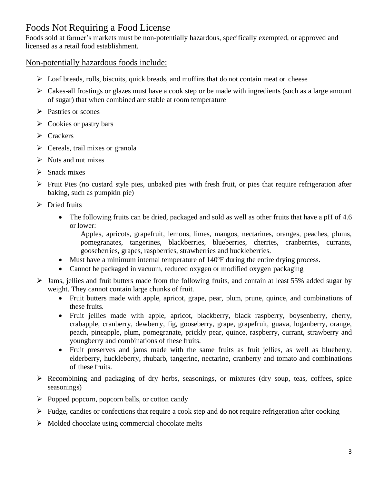# <span id="page-2-0"></span>Foods Not Requiring a Food License

Foods sold at farmer's markets must be non-potentially hazardous, specifically exempted, or approved and licensed as a retail food establishment.

### Non-potentially hazardous foods include:

- ➢ Loaf breads, rolls, biscuits, quick breads, and muffins that do not contain meat or cheese
- $\triangleright$  Cakes-all frostings or glazes must have a cook step or be made with ingredients (such as a large amount of sugar) that when combined are stable at room temperature
- ➢ Pastries or scones
- $\triangleright$  Cookies or pastry bars
- ➢ Crackers
- $\triangleright$  Cereals, trail mixes or granola
- ➢ Nuts and nut mixes
- $\triangleright$  Snack mixes
- ➢ Fruit Pies (no custard style pies, unbaked pies with fresh fruit, or pies that require refrigeration after baking, such as pumpkin pie)
- $\triangleright$  Dried fruits
	- The following fruits can be dried, packaged and sold as well as other fruits that have a pH of 4.6 or lower:

Apples, apricots, grapefruit, lemons, limes, mangos, nectarines, oranges, peaches, plums, pomegranates, tangerines, blackberries, blueberries, cherries, cranberries, currants, gooseberries, grapes, raspberries, strawberries and huckleberries.

- Must have a minimum internal temperature of 140°F during the entire drying process.
- Cannot be packaged in vacuum, reduced oxygen or modified oxygen packaging
- ➢ Jams, jellies and fruit butters made from the following fruits, and contain at least 55% added sugar by weight. They cannot contain large chunks of fruit.
	- Fruit butters made with apple, apricot, grape, pear, plum, prune, quince, and combinations of these fruits.
	- Fruit jellies made with apple, apricot, blackberry, black raspberry, boysenberry, cherry, crabapple, cranberry, dewberry, fig, gooseberry, grape, grapefruit, guava, loganberry, orange, peach, pineapple, plum, pomegranate, prickly pear, quince, raspberry, currant, strawberry and youngberry and combinations of these fruits.
	- Fruit preserves and jams made with the same fruits as fruit jellies, as well as blueberry, elderberry, huckleberry, rhubarb, tangerine, nectarine, cranberry and tomato and combinations of these fruits.
- $\triangleright$  Recombining and packaging of dry herbs, seasonings, or mixtures (dry soup, teas, coffees, spice seasonings)
- $\triangleright$  Popped popcorn, popcorn balls, or cotton candy
- $\triangleright$  Fudge, candies or confections that require a cook step and do not require refrigeration after cooking
- $\triangleright$  Molded chocolate using commercial chocolate melts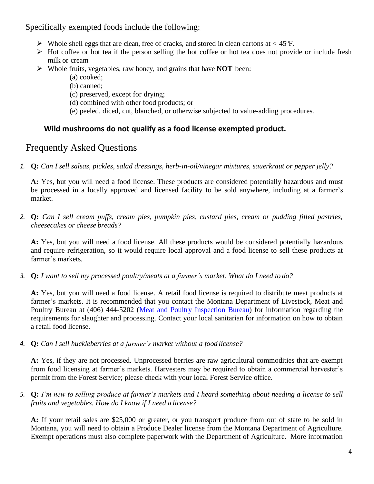### <span id="page-3-0"></span>Specifically exempted foods include the following:

- $\triangleright$  Whole shell eggs that are clean, free of cracks, and stored in clean cartons at  $\leq 45^{\circ}$ F.
- $\triangleright$  Hot coffee or hot tea if the person selling the hot coffee or hot tea does not provide or include fresh milk or cream
- ➢ Whole fruits, vegetables, raw honey, and grains that have **NOT** been:
	- (a) cooked;
	- (b) canned;
	- (c) preserved, except for drying;
	- (d) combined with other food products; or
	- (e) peeled, diced, cut, blanched, or otherwise subjected to value-adding procedures.

### **Wild mushrooms do not qualify as a food license exempted product.**

## <span id="page-3-1"></span>Frequently Asked Questions

*1.* **Q:** *Can I sell salsas, pickles, salad dressings, herb-in-oil/vinegar mixtures, sauerkraut or pepper jelly?*

**A:** Yes, but you will need a food license. These products are considered potentially hazardous and must be processed in a locally approved and licensed facility to be sold anywhere, including at a farmer's market.

*2.* **Q:** *Can I sell cream puffs, cream pies, pumpkin pies, custard pies, cream or pudding filled pastries, cheesecakes or cheese breads?*

**A:** Yes, but you will need a food license. All these products would be considered potentially hazardous and require refrigeration, so it would require local approval and a food license to sell these products at farmer's markets.

*3.* **Q:** *I want to sell my processed poultry/meats at a farmer's market. What do I need to do?*

**A:** Yes, but you will need a food license. A retail food license is required to distribute meat products at farmer's markets. It is recommended that you contact the Montana Department of Livestock, Meat and Poultry Bureau at (406) 444-5202 [\(Meat and Poultry Inspection Bureau\)](http://liv.mt.gov/Meat-Milk-Inspection/Meat-and-Poultry-Inspection) for information regarding the requirements for slaughter and processing. Contact your local sanitarian for information on how to obtain a retail food license.

*4.* **Q:** *Can I sell huckleberries at a farmer's market without a food license?*

**A:** Yes, if they are not processed. Unprocessed berries are raw agricultural commodities that are exempt from food licensing at farmer's markets. Harvesters may be required to obtain a commercial harvester's permit from the Forest Service; please check with your local Forest Service office.

*5.* **Q:** *I'm new to selling produce at farmer's markets and I heard something about needing a license to sell fruits and vegetables. How do I know if I need a license?*

**A:** If your retail sales are \$25,000 or greater, or you transport produce from out of state to be sold in Montana, you will need to obtain a Produce Dealer license from the Montana Department of Agriculture. Exempt operations must also complete paperwork with the Department of Agriculture. More information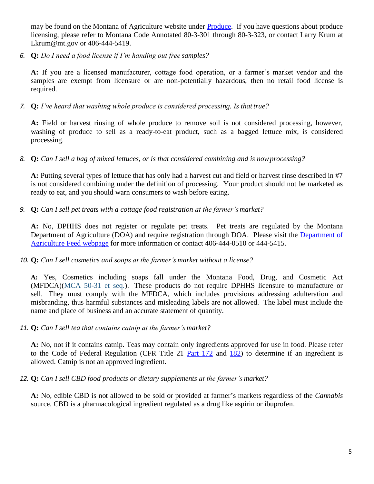may be found on the Montana of Agriculture website under [Produce.](https://agr.mt.gov/Topics/Produce) If you have questions about produce licensing, please refer to Montana Code Annotated 80-3-301 through 80-3-323, or contact Larry Krum a[t](mailto:Lkrum@mt.gov) [Lkrum@mt.gov o](mailto:Lkrum@mt.gov)r 406-444-5419.

*6.* **Q:** *Do I need a food license if I'm handing out free samples?*

**A:** If you are a licensed manufacturer, cottage food operation, or a farmer's market vendor and the samples are exempt from licensure or are non-potentially hazardous, then no retail food license is required.

*7.* **Q:** *I've heard that washing whole produce is considered processing. Is that true?*

**A:** Field or harvest rinsing of whole produce to remove soil is not considered processing, however, washing of produce to sell as a ready-to-eat product, such as a bagged lettuce mix, is considered processing.

*8.* **Q:** *Can I sell a bag of mixed lettuces, or is that considered combining and is nowprocessing?*

**A:** Putting several types of lettuce that has only had a harvest cut and field or harvest rinse described in #7 is not considered combining under the definition of processing. Your product should not be marketed as ready to eat, and you should warn consumers to wash before eating.

*9.* **Q:** *Can I sell pet treats with a cottage food registration at the farmer's market?*

**A:** No, DPHHS does not register or regulate pet treats. Pet treats are regulated by the Montana Department of Agriculture (DOA) and require registration through DOA. Please visit the [Department of](https://agr.mt.gov/Topics/Feed)  [Agriculture Feed webpage](https://agr.mt.gov/Topics/Feed) for more information or contact 406-444-0510 or 444-5415.

### *10.* **Q:** *Can I sell cosmetics and soaps at the farmer's market without a license?*

**A:** Yes, Cosmetics including soaps fall under the Montana Food, Drug, and Cosmetic Act (MFDCA)[\(MCA 50-31 et seq.\)](https://lnks.gd/l/eyJhbGciOiJIUzI1NiJ9.eyJidWxsZXRpbl9saW5rX2lkIjoxMTcsInVyaSI6ImJwMjpjbGljayIsImJ1bGxldGluX2lkIjoiMjAyMTAyMjYuMzYwMzMwOTEiLCJ1cmwiOiJodHRwczovL2xlZy5tdC5nb3YvYmlsbHMvbWNhL3RpdGxlXzA1MDAvY2hhcHRlcl8wMzEwL3BhcnRfMDAxMC9zZWN0aW9uXzAwMzAvMDUwMC0wMzEwLTAwMTAtMDAzMC5odG1sIn0.DhtTFyeHHRi4o8UwEKOzNNSfstn9zalcu3i3cBjsnvg/s/1017239027/br/98420702592-l). These products do not require DPHHS licensure to manufacture or sell. They must comply with the MFDCA, which includes provisions addressing adulteration and misbranding, thus harmful substances and misleading labels are not allowed. The label must include the name and place of business and an accurate statement of quantity.

*11.* **Q:** *Can I sell tea that contains catnip at the farmer's market?*

**A:** No, not if it contains catnip. Teas may contain only ingredients approved for use in food. Please refer to the Code of Federal Regulation (CFR Title 21 [Part 172](https://www.accessdata.fda.gov/scripts/cdrh/cfdocs/cfcfr/CFRSearch.cfm?CFRPart=172) and [182\)](https://www.accessdata.fda.gov/scripts/cdrh/cfdocs/cfcfr/CFRSearch.cfm?CFRPart=182) to determine if an ingredient is allowed. Catnip is not an approved ingredient.

*12.* **Q:** *Can I sell CBD food products or dietary supplements at the farmer's market?*

**A:** No, edible CBD is not allowed to be sold or provided at farmer's markets regardless of the *Cannabis*  source. CBD is a pharmacological ingredient regulated as a drug like aspirin or ibuprofen.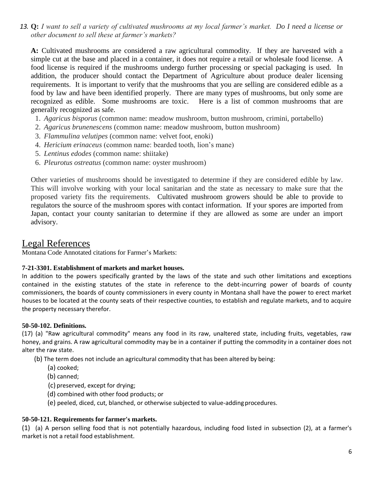*13.* **Q:** *I want to sell a variety of cultivated mushrooms at my local farmer's market. Do I need a license or other document to sell these at farmer's markets?*

**A:** Cultivated mushrooms are considered a raw agricultural commodity. If they are harvested with a simple cut at the base and placed in a container, it does not require a retail or wholesale food license. A food license is required if the mushrooms undergo further processing or special packaging is used. In addition, the producer should contact the Department of Agriculture about produce dealer licensing requirements. It is important to verify that the mushrooms that you are selling are considered edible as a food by law and have been identified properly. There are many types of mushrooms, but only some are recognized as edible. Some mushrooms are toxic. Here is a list of common mushrooms that are generally recognized as safe.

- 1. *Agaricus bisporus* (common name: meadow mushroom, button mushroom, crimini, portabello)
- 2. *Agaricus brunenescens* (common name: meadow mushroom, button mushroom)
- 3. *Flammulina velutipes* (common name: velvet foot, enoki)
- 4. *Hericium erinaceus* (common name: bearded tooth, lion's mane)
- 5. *Lentinus edodes* (common name: shiitake)
- 6. *Pleurotus ostreatus* (common name: oyster mushroom)

Other varieties of mushrooms should be investigated to determine if they are considered edible by law. This will involve working with your local sanitarian and the state as necessary to make sure that the proposed variety fits the requirements. Cultivated mushroom growers should be able to provide to regulators the source of the mushroom spores with contact information. If your spores are imported from Japan, contact your county sanitarian to determine if they are allowed as some are under an import advisory.

## <span id="page-5-0"></span>Legal References

Montana Code Annotated citations for Farmer's Markets:

#### <span id="page-5-1"></span>**7-21-3301. Establishment of markets and market houses.**

In addition to the powers specifically granted by the laws of the state and such other limitations and exceptions contained in the existing statutes of the state in reference to the debt-incurring power of boards of county commissioners, the boards of county commissioners in every county in Montana shall have the power to erect market houses to be located at the county seats of their respective counties, to establish and regulate markets, and to acquire the property necessary therefor.

#### <span id="page-5-3"></span>**50-50-102. Definitions.**

(17) (a) "Raw agricultural commodity" means any food in its raw, unaltered state, including fruits, vegetables, raw honey, and grains. A raw agricultural commodity may be in a container if putting the commodity in a container does not alter the raw state.

(b) The term does not include an agricultural commodity that has been altered by being:

- (a) cooked;
- (b) canned;
- (c) preserved, except for drying;
- (d) combined with other food products; or
- (e) peeled, diced, cut, blanched, or otherwise subjected to value-addingprocedures.

#### <span id="page-5-2"></span>**50-50-121. Requirements for farmer's markets.**

(1) (a) A person selling food that is not potentially hazardous, including food listed in subsection (2), at a farmer's market is not a retail food establishment.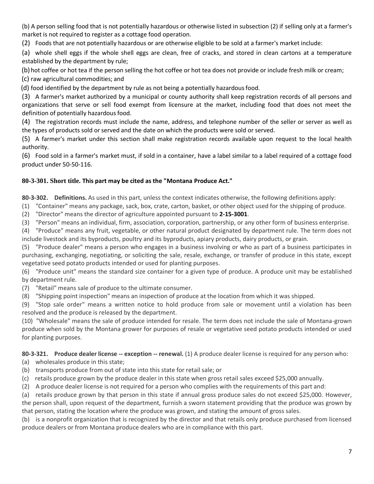(b) A person selling food that is not potentially hazardous or otherwise listed in subsection (2) if selling only at a farmer's market is not required to register as a cottage food operation.

(2) Foods that are not potentially hazardous or are otherwise eligible to be sold at a farmer's market include:

(a) whole shell eggs if the whole shell eggs are clean, free of cracks, and stored in clean cartons at a temperature established by the department by rule;

(b)hot coffee or hot tea if the person selling the hot coffee or hot tea does not provide or include fresh milk or cream; (c) raw agricultural commodities; and

(d) food identified by the department by rule as not being a potentially hazardousfood.

(3) A farmer's market authorized by a municipal or county authority shall keep registration records of all persons and organizations that serve or sell food exempt from licensure at the market, including food that does not meet the definition of potentially hazardous food.

(4) The registration records must include the name, address, and telephone number of the seller or server as well as the types of products sold or served and the date on which the products were sold or served.

(5) A farmer's market under this section shall make registration records available upon request to the local health authority.

(6) Food sold in a farmer's market must, if sold in a container, have a label similar to a label required of a cottage food product under 50-50-116.

### <span id="page-6-0"></span>**80-3-301. Short title. This part may be cited as the "Montana Produce Act."**

<span id="page-6-1"></span>**80-3-302. Definitions.** As used in this part, unless the context indicates otherwise, the following definitions apply:

(1) "Container" means any package, sack, box, crate, carton, basket, or other object used for the shipping of produce.

(2) "Director" means the director of agriculture appointed pursuant to **[2-15-3001](https://leg.mt.gov/bills/mca/title_0020/chapter_0150/part_0300/section_0010/0020-0150-0300-0010.html)**.

(3) "Person" means an individual, firm, association, corporation, partnership, or any other form of business enterprise.

(4) "Produce" means any fruit, vegetable, or other natural product designated by department rule. The term does not include livestock and its byproducts, poultry and its byproducts, apiary products, dairy products, or grain.

(5) "Produce dealer" means a person who engages in a business involving or who as part of a business participates in purchasing, exchanging, negotiating, or soliciting the sale, resale, exchange, or transfer of produce in this state, except vegetative seed potato products intended or used for planting purposes.

(6) "Produce unit" means the standard size container for a given type of produce. A produce unit may be established by department rule.

(7) "Retail" means sale of produce to the ultimate consumer.

(8) "Shipping point inspection" means an inspection of produce at the location from which it was shipped.

(9) "Stop sale order" means a written notice to hold produce from sale or movement until a violation has been resolved and the produce is released by the department.

(10) "Wholesale" means the sale of produce intended for resale. The term does not include the sale of Montana-grown produce when sold by the Montana grower for purposes of resale or vegetative seed potato products intended or used for planting purposes.

**80-3-321. Produce dealer license -- exception -- renewal.** (1) A produce dealer license is required for any person who:

- (a) wholesales produce in this state;
- (b) transports produce from out of state into this state for retail sale; or
- (c) retails produce grown by the produce dealer in this state when gross retail sales exceed \$25,000 annually.
- (2) A produce dealer license is not required for a person who complies with the requirements of this part and:

(a) retails produce grown by that person in this state if annual gross produce sales do not exceed \$25,000. However, the person shall, upon request of the department, furnish a sworn statement providing that the produce was grown by that person, stating the location where the produce was grown, and stating the amount of gross sales.

(b) is a nonprofit organization that is recognized by the director and that retails only produce purchased from licensed produce dealers or from Montana produce dealers who are in compliance with this part.